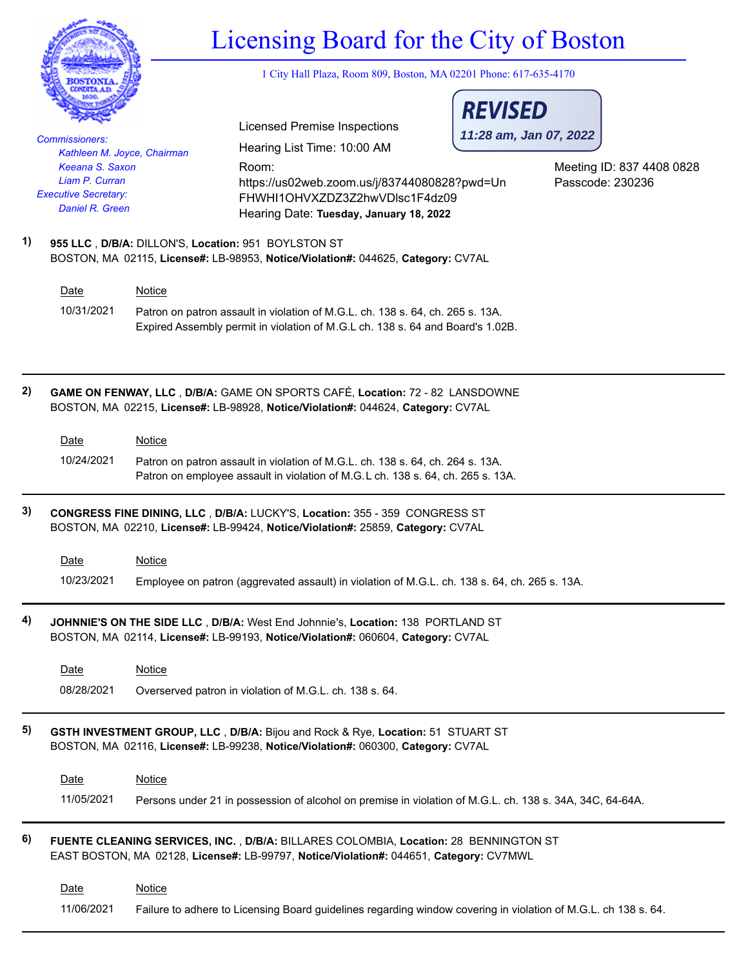